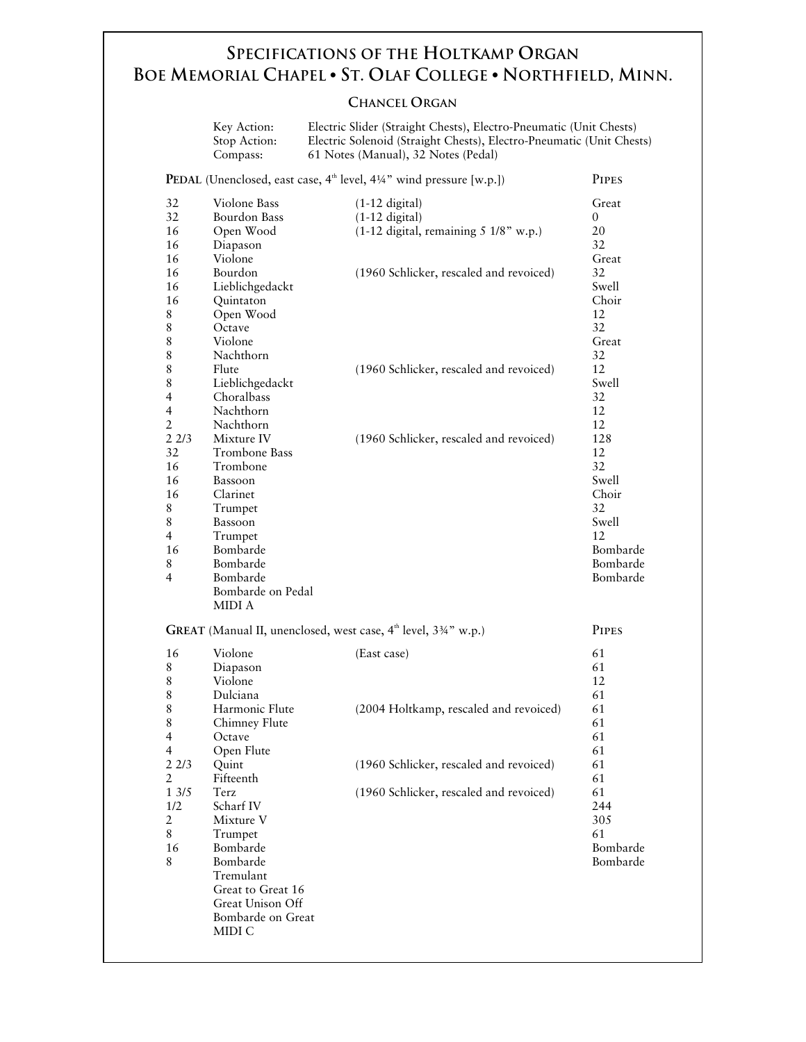## **SPECIFICATIONS OF THE HOLTKAMP ORGAN BOE MEMORIAL CHAPEL • ST. OLAF COLLEGE • NORTHFIELD, MINN.**

### **CHANCEL ORGAN**

|                                                                                                                                                                                                                        | Key Action:<br>Stop Action:<br>Compass:                                                                                                                                                                                                                                                                                                                                                           | Electric Slider (Straight Chests), Electro-Pneumatic (Unit Chests)<br>Electric Solenoid (Straight Chests), Electro-Pneumatic (Unit Chests)<br>61 Notes (Manual), 32 Notes (Pedal)                                              |                                                                                                                                                                                                                                |  |  |  |
|------------------------------------------------------------------------------------------------------------------------------------------------------------------------------------------------------------------------|---------------------------------------------------------------------------------------------------------------------------------------------------------------------------------------------------------------------------------------------------------------------------------------------------------------------------------------------------------------------------------------------------|--------------------------------------------------------------------------------------------------------------------------------------------------------------------------------------------------------------------------------|--------------------------------------------------------------------------------------------------------------------------------------------------------------------------------------------------------------------------------|--|--|--|
| PEDAL (Unenclosed, east case, 4 <sup>th</sup> level, 41/4" wind pressure [w.p.])<br><b>PIPES</b>                                                                                                                       |                                                                                                                                                                                                                                                                                                                                                                                                   |                                                                                                                                                                                                                                |                                                                                                                                                                                                                                |  |  |  |
| 32<br>32<br>16<br>16<br>16<br>16<br>16<br>16<br>8<br>8<br>8<br>8<br>8<br>$\,$ 8 $\,$<br>$\overline{4}$<br>$\overline{4}$<br>$\overline{2}$<br>22/3<br>32<br>16<br>16<br>16<br>8<br>8<br>$\overline{4}$<br>16<br>8<br>4 | Violone Bass<br><b>Bourdon Bass</b><br>Open Wood<br>Diapason<br>Violone<br>Bourdon<br>Lieblichgedackt<br>Quintaton<br>Open Wood<br>Octave<br>Violone<br>Nachthorn<br>Flute<br>Lieblichgedackt<br>Choralbass<br>Nachthorn<br>Nachthorn<br>Mixture IV<br>Trombone Bass<br>Trombone<br>Bassoon<br>Clarinet<br>Trumpet<br>Bassoon<br>Trumpet<br>Bombarde<br>Bombarde<br>Bombarde<br>Bombarde on Pedal | $(1-12 \text{ digital})$<br>$(1-12 \text{ digital})$<br>(1-12 digital, remaining 5 1/8" w.p.)<br>(1960 Schlicker, rescaled and revoiced)<br>(1960 Schlicker, rescaled and revoiced)<br>(1960 Schlicker, rescaled and revoiced) | Great<br>$\overline{0}$<br>20<br>32<br>Great<br>32<br>Swell<br>Choir<br>12<br>32<br>Great<br>32<br>12<br>Swell<br>32<br>12<br>12<br>128<br>12<br>32<br>Swell<br>Choir<br>32<br>Swell<br>12<br>Bombarde<br>Bombarde<br>Bombarde |  |  |  |
| MIDI A<br>GREAT (Manual II, unenclosed, west case, 4 <sup>th</sup> level, 33/4" w.p.)<br><b>PIPES</b>                                                                                                                  |                                                                                                                                                                                                                                                                                                                                                                                                   |                                                                                                                                                                                                                                |                                                                                                                                                                                                                                |  |  |  |
| 16<br>8<br>8<br>8                                                                                                                                                                                                      | Violone<br>Diapason<br>Violone<br>Dulciana                                                                                                                                                                                                                                                                                                                                                        | (East case)                                                                                                                                                                                                                    | 61<br>61<br>12<br>61                                                                                                                                                                                                           |  |  |  |
| $\,$ 8 $\,$<br>$\,$ 8 $\,$<br>$\overline{4}$<br>4<br>22/3<br>$\overline{2}$<br>13/5<br>1/2<br>$\overline{2}$<br>8<br>16                                                                                                | Harmonic Flute<br>Chimney Flute<br>Octave<br>Open Flute<br>Quint<br>Fifteenth<br>Terz<br>Scharf IV<br>Mixture V<br>Trumpet<br>Bombarde                                                                                                                                                                                                                                                            | (2004 Holtkamp, rescaled and revoiced)<br>(1960 Schlicker, rescaled and revoiced)<br>(1960 Schlicker, rescaled and revoiced)                                                                                                   | 61<br>61<br>61<br>61<br>61<br>61<br>61<br>244<br>305<br>61<br>Bombarde                                                                                                                                                         |  |  |  |
| 8                                                                                                                                                                                                                      | Bombarde<br>Tremulant<br>Great to Great 16<br>Great Unison Off<br>Bombarde on Great<br>MIDI C                                                                                                                                                                                                                                                                                                     |                                                                                                                                                                                                                                | Bombarde                                                                                                                                                                                                                       |  |  |  |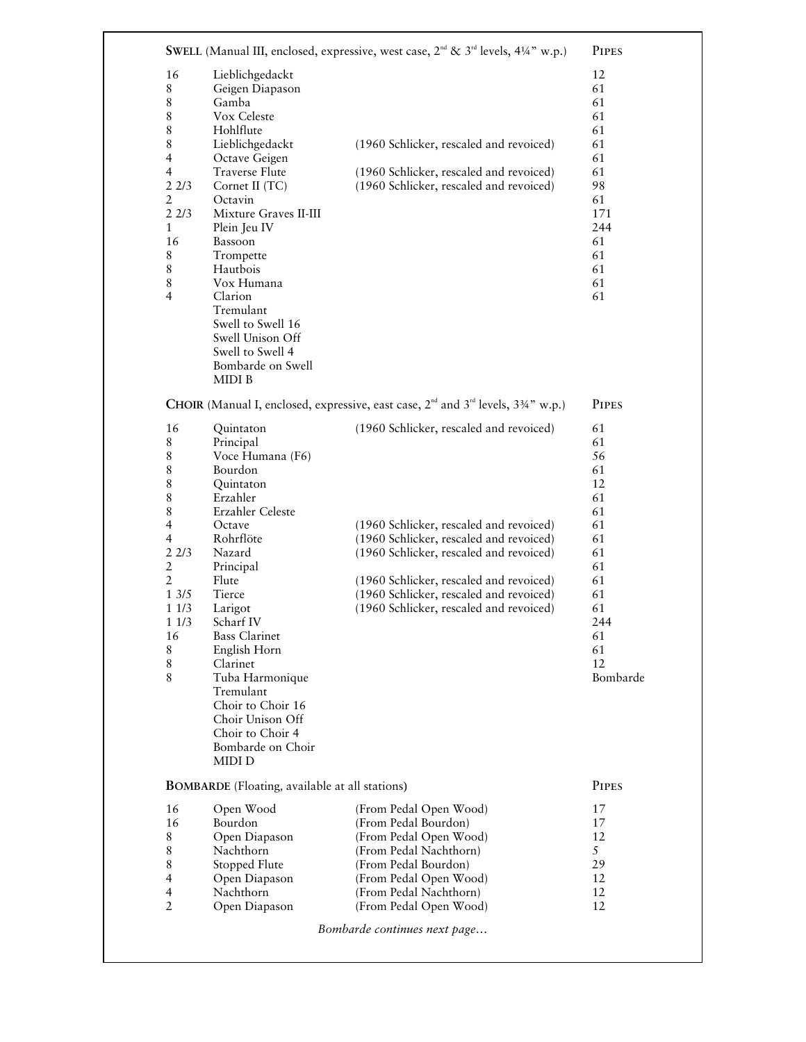| Lieblichgedackt<br>Geigen Diapason<br>Gamba<br>Vox Celeste<br>Hohlflute<br>Lieblichgedackt<br>Octave Geigen<br><b>Traverse Flute</b><br>Cornet II (TC)<br>Octavin<br>Mixture Graves II-III<br>Plein Jeu IV<br>Bassoon<br>Trompette<br>Hautbois<br>Vox Humana<br>Clarion<br>Tremulant<br>Swell to Swell 16<br>Swell Unison Off<br>Swell to Swell 4<br>Bombarde on Swell<br>MIDI B<br>Quintaton<br>Principal<br>Voce Humana (F6)<br>Bourdon<br>Quintaton<br>Erzahler<br>Erzahler Celeste<br>Octave<br>Rohrflöte<br>Nazard | (1960 Schlicker, rescaled and revoiced)<br>(1960 Schlicker, rescaled and revoiced)<br>(1960 Schlicker, rescaled and revoiced)<br>CHOIR (Manual I, enclosed, expressive, east case, 2 <sup>nd</sup> and 3 <sup>rd</sup> levels, 334" w.p.)<br>(1960 Schlicker, rescaled and revoiced)<br>(1960 Schlicker, rescaled and revoiced) | 12<br>61<br>61<br>61<br>61<br>61<br>61<br>61<br>98<br>61<br>171<br>244<br>61<br>61<br>61<br>61<br>61<br><b>PIPES</b><br>61<br>61<br>56<br>61<br>12<br>61<br>61                      |
|-------------------------------------------------------------------------------------------------------------------------------------------------------------------------------------------------------------------------------------------------------------------------------------------------------------------------------------------------------------------------------------------------------------------------------------------------------------------------------------------------------------------------|---------------------------------------------------------------------------------------------------------------------------------------------------------------------------------------------------------------------------------------------------------------------------------------------------------------------------------|-------------------------------------------------------------------------------------------------------------------------------------------------------------------------------------|
|                                                                                                                                                                                                                                                                                                                                                                                                                                                                                                                         |                                                                                                                                                                                                                                                                                                                                 |                                                                                                                                                                                     |
|                                                                                                                                                                                                                                                                                                                                                                                                                                                                                                                         |                                                                                                                                                                                                                                                                                                                                 |                                                                                                                                                                                     |
|                                                                                                                                                                                                                                                                                                                                                                                                                                                                                                                         |                                                                                                                                                                                                                                                                                                                                 |                                                                                                                                                                                     |
|                                                                                                                                                                                                                                                                                                                                                                                                                                                                                                                         |                                                                                                                                                                                                                                                                                                                                 |                                                                                                                                                                                     |
|                                                                                                                                                                                                                                                                                                                                                                                                                                                                                                                         |                                                                                                                                                                                                                                                                                                                                 |                                                                                                                                                                                     |
|                                                                                                                                                                                                                                                                                                                                                                                                                                                                                                                         |                                                                                                                                                                                                                                                                                                                                 |                                                                                                                                                                                     |
|                                                                                                                                                                                                                                                                                                                                                                                                                                                                                                                         |                                                                                                                                                                                                                                                                                                                                 |                                                                                                                                                                                     |
|                                                                                                                                                                                                                                                                                                                                                                                                                                                                                                                         |                                                                                                                                                                                                                                                                                                                                 |                                                                                                                                                                                     |
|                                                                                                                                                                                                                                                                                                                                                                                                                                                                                                                         |                                                                                                                                                                                                                                                                                                                                 |                                                                                                                                                                                     |
|                                                                                                                                                                                                                                                                                                                                                                                                                                                                                                                         |                                                                                                                                                                                                                                                                                                                                 |                                                                                                                                                                                     |
|                                                                                                                                                                                                                                                                                                                                                                                                                                                                                                                         |                                                                                                                                                                                                                                                                                                                                 |                                                                                                                                                                                     |
|                                                                                                                                                                                                                                                                                                                                                                                                                                                                                                                         |                                                                                                                                                                                                                                                                                                                                 |                                                                                                                                                                                     |
|                                                                                                                                                                                                                                                                                                                                                                                                                                                                                                                         |                                                                                                                                                                                                                                                                                                                                 |                                                                                                                                                                                     |
|                                                                                                                                                                                                                                                                                                                                                                                                                                                                                                                         |                                                                                                                                                                                                                                                                                                                                 |                                                                                                                                                                                     |
|                                                                                                                                                                                                                                                                                                                                                                                                                                                                                                                         |                                                                                                                                                                                                                                                                                                                                 |                                                                                                                                                                                     |
|                                                                                                                                                                                                                                                                                                                                                                                                                                                                                                                         |                                                                                                                                                                                                                                                                                                                                 |                                                                                                                                                                                     |
|                                                                                                                                                                                                                                                                                                                                                                                                                                                                                                                         |                                                                                                                                                                                                                                                                                                                                 |                                                                                                                                                                                     |
|                                                                                                                                                                                                                                                                                                                                                                                                                                                                                                                         |                                                                                                                                                                                                                                                                                                                                 |                                                                                                                                                                                     |
|                                                                                                                                                                                                                                                                                                                                                                                                                                                                                                                         |                                                                                                                                                                                                                                                                                                                                 |                                                                                                                                                                                     |
|                                                                                                                                                                                                                                                                                                                                                                                                                                                                                                                         |                                                                                                                                                                                                                                                                                                                                 |                                                                                                                                                                                     |
|                                                                                                                                                                                                                                                                                                                                                                                                                                                                                                                         |                                                                                                                                                                                                                                                                                                                                 |                                                                                                                                                                                     |
|                                                                                                                                                                                                                                                                                                                                                                                                                                                                                                                         |                                                                                                                                                                                                                                                                                                                                 |                                                                                                                                                                                     |
|                                                                                                                                                                                                                                                                                                                                                                                                                                                                                                                         |                                                                                                                                                                                                                                                                                                                                 |                                                                                                                                                                                     |
|                                                                                                                                                                                                                                                                                                                                                                                                                                                                                                                         |                                                                                                                                                                                                                                                                                                                                 |                                                                                                                                                                                     |
|                                                                                                                                                                                                                                                                                                                                                                                                                                                                                                                         |                                                                                                                                                                                                                                                                                                                                 |                                                                                                                                                                                     |
|                                                                                                                                                                                                                                                                                                                                                                                                                                                                                                                         |                                                                                                                                                                                                                                                                                                                                 |                                                                                                                                                                                     |
|                                                                                                                                                                                                                                                                                                                                                                                                                                                                                                                         |                                                                                                                                                                                                                                                                                                                                 |                                                                                                                                                                                     |
|                                                                                                                                                                                                                                                                                                                                                                                                                                                                                                                         |                                                                                                                                                                                                                                                                                                                                 |                                                                                                                                                                                     |
|                                                                                                                                                                                                                                                                                                                                                                                                                                                                                                                         |                                                                                                                                                                                                                                                                                                                                 |                                                                                                                                                                                     |
|                                                                                                                                                                                                                                                                                                                                                                                                                                                                                                                         |                                                                                                                                                                                                                                                                                                                                 | 61<br>61                                                                                                                                                                            |
|                                                                                                                                                                                                                                                                                                                                                                                                                                                                                                                         | (1960 Schlicker, rescaled and revoiced)<br>(1960 Schlicker, rescaled and revoiced)                                                                                                                                                                                                                                              | 61                                                                                                                                                                                  |
| Principal                                                                                                                                                                                                                                                                                                                                                                                                                                                                                                               |                                                                                                                                                                                                                                                                                                                                 | 61                                                                                                                                                                                  |
| Flute                                                                                                                                                                                                                                                                                                                                                                                                                                                                                                                   | (1960 Schlicker, rescaled and revoiced)                                                                                                                                                                                                                                                                                         | 61                                                                                                                                                                                  |
| Tierce                                                                                                                                                                                                                                                                                                                                                                                                                                                                                                                  | (1960 Schlicker, rescaled and revoiced)                                                                                                                                                                                                                                                                                         | 61                                                                                                                                                                                  |
| Larigot                                                                                                                                                                                                                                                                                                                                                                                                                                                                                                                 | (1960 Schlicker, rescaled and revoiced)                                                                                                                                                                                                                                                                                         | 61                                                                                                                                                                                  |
| Scharf IV                                                                                                                                                                                                                                                                                                                                                                                                                                                                                                               |                                                                                                                                                                                                                                                                                                                                 | 244                                                                                                                                                                                 |
| <b>Bass Clarinet</b>                                                                                                                                                                                                                                                                                                                                                                                                                                                                                                    |                                                                                                                                                                                                                                                                                                                                 | 61                                                                                                                                                                                  |
| English Horn                                                                                                                                                                                                                                                                                                                                                                                                                                                                                                            |                                                                                                                                                                                                                                                                                                                                 | 61                                                                                                                                                                                  |
| Clarinet                                                                                                                                                                                                                                                                                                                                                                                                                                                                                                                |                                                                                                                                                                                                                                                                                                                                 | 12                                                                                                                                                                                  |
| Tuba Harmonique                                                                                                                                                                                                                                                                                                                                                                                                                                                                                                         |                                                                                                                                                                                                                                                                                                                                 | Bombarde                                                                                                                                                                            |
| Tremulant                                                                                                                                                                                                                                                                                                                                                                                                                                                                                                               |                                                                                                                                                                                                                                                                                                                                 |                                                                                                                                                                                     |
|                                                                                                                                                                                                                                                                                                                                                                                                                                                                                                                         |                                                                                                                                                                                                                                                                                                                                 |                                                                                                                                                                                     |
|                                                                                                                                                                                                                                                                                                                                                                                                                                                                                                                         |                                                                                                                                                                                                                                                                                                                                 |                                                                                                                                                                                     |
|                                                                                                                                                                                                                                                                                                                                                                                                                                                                                                                         |                                                                                                                                                                                                                                                                                                                                 |                                                                                                                                                                                     |
|                                                                                                                                                                                                                                                                                                                                                                                                                                                                                                                         |                                                                                                                                                                                                                                                                                                                                 |                                                                                                                                                                                     |
|                                                                                                                                                                                                                                                                                                                                                                                                                                                                                                                         |                                                                                                                                                                                                                                                                                                                                 | <b>PIPES</b>                                                                                                                                                                        |
|                                                                                                                                                                                                                                                                                                                                                                                                                                                                                                                         |                                                                                                                                                                                                                                                                                                                                 | 17                                                                                                                                                                                  |
|                                                                                                                                                                                                                                                                                                                                                                                                                                                                                                                         |                                                                                                                                                                                                                                                                                                                                 | 17                                                                                                                                                                                  |
|                                                                                                                                                                                                                                                                                                                                                                                                                                                                                                                         |                                                                                                                                                                                                                                                                                                                                 | 12                                                                                                                                                                                  |
|                                                                                                                                                                                                                                                                                                                                                                                                                                                                                                                         |                                                                                                                                                                                                                                                                                                                                 | 5                                                                                                                                                                                   |
|                                                                                                                                                                                                                                                                                                                                                                                                                                                                                                                         |                                                                                                                                                                                                                                                                                                                                 | 29                                                                                                                                                                                  |
| Open Diapason                                                                                                                                                                                                                                                                                                                                                                                                                                                                                                           |                                                                                                                                                                                                                                                                                                                                 |                                                                                                                                                                                     |
| Nachthorn                                                                                                                                                                                                                                                                                                                                                                                                                                                                                                               |                                                                                                                                                                                                                                                                                                                                 |                                                                                                                                                                                     |
|                                                                                                                                                                                                                                                                                                                                                                                                                                                                                                                         | (From Pedal Open Wood)<br>(From Pedal Nachthorn)                                                                                                                                                                                                                                                                                | 12<br>12                                                                                                                                                                            |
|                                                                                                                                                                                                                                                                                                                                                                                                                                                                                                                         | Choir to Choir 16<br>Choir Unison Off<br>Choir to Choir 4<br>Bombarde on Choir<br><b>MIDID</b><br>Open Wood<br>Bourdon<br>Open Diapason<br>Nachthorn<br>Stopped Flute                                                                                                                                                           | <b>BOMBARDE</b> (Floating, available at all stations)<br>(From Pedal Open Wood)<br>(From Pedal Bourdon)<br>(From Pedal Open Wood)<br>(From Pedal Nachthorn)<br>(From Pedal Bourdon) |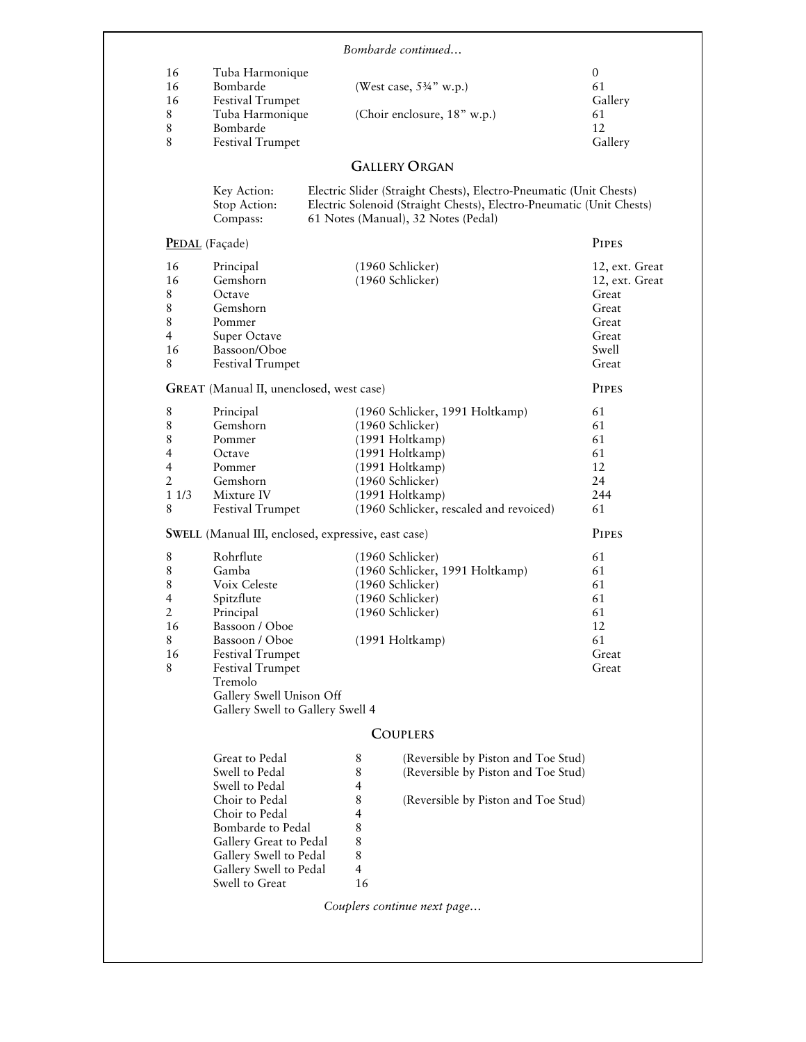|                          |                                          | Bombarde continued                                                                                                                                                                |                                     |
|--------------------------|------------------------------------------|-----------------------------------------------------------------------------------------------------------------------------------------------------------------------------------|-------------------------------------|
| 16                       | Tuba Harmonique                          |                                                                                                                                                                                   | $\overline{0}$                      |
| 16                       | Bombarde                                 | (West case, $5\frac{3}{4}$ " w.p.)                                                                                                                                                | 61                                  |
| 16                       | <b>Festival Trumpet</b>                  |                                                                                                                                                                                   | Gallery                             |
| 8                        | Tuba Harmonique                          | (Choir enclosure, 18" w.p.)                                                                                                                                                       | 61                                  |
| $\,8\,$                  | Bombarde                                 |                                                                                                                                                                                   | 12                                  |
| 8                        | Festival Trumpet                         |                                                                                                                                                                                   | Gallery                             |
|                          |                                          | <b>GALLERY ORGAN</b>                                                                                                                                                              |                                     |
|                          | Key Action:<br>Stop Action:<br>Compass:  | Electric Slider (Straight Chests), Electro-Pneumatic (Unit Chests)<br>Electric Solenoid (Straight Chests), Electro-Pneumatic (Unit Chests)<br>61 Notes (Manual), 32 Notes (Pedal) |                                     |
|                          | PEDAL (Façade)                           |                                                                                                                                                                                   | <b>PIPES</b>                        |
| 16                       |                                          | (1960 Schlicker)                                                                                                                                                                  |                                     |
| 16                       | Principal<br>Gemshorn                    | (1960 Schlicker)                                                                                                                                                                  | 12, ext. Great<br>12, ext. Great    |
| 8                        | Octave                                   |                                                                                                                                                                                   | Great                               |
| 8                        | Gemshorn                                 |                                                                                                                                                                                   | Great                               |
| 8                        | Pommer                                   |                                                                                                                                                                                   | Great                               |
| $\overline{\mathcal{A}}$ |                                          |                                                                                                                                                                                   | Great                               |
|                          | Super Octave                             |                                                                                                                                                                                   |                                     |
| 16<br>8                  | Bassoon/Oboe<br><b>Festival Trumpet</b>  |                                                                                                                                                                                   | Swell<br>Great                      |
|                          | GREAT (Manual II, unenclosed, west case) |                                                                                                                                                                                   | <b>PIPES</b>                        |
|                          |                                          |                                                                                                                                                                                   |                                     |
| 8                        | Principal                                | (1960 Schlicker, 1991 Holtkamp)                                                                                                                                                   | 61                                  |
| 8                        | Gemshorn                                 | (1960 Schlicker)                                                                                                                                                                  | 61                                  |
| 8                        | Pommer                                   | (1991 Holtkamp)                                                                                                                                                                   | 61                                  |
| 4                        | Octave                                   | (1991 Holtkamp)                                                                                                                                                                   | 61                                  |
| 4                        | Pommer                                   | (1991 Holtkamp)                                                                                                                                                                   | 12                                  |
| 2                        | Gemshorn                                 | (1960 Schlicker)                                                                                                                                                                  | 24                                  |
| 11/3                     | Mixture IV                               | $(1991$ Holtkamp)                                                                                                                                                                 | 244                                 |
| 8                        | Festival Trumpet                         | (1960 Schlicker, rescaled and revoiced)                                                                                                                                           | 61                                  |
|                          |                                          | SWELL (Manual III, enclosed, expressive, east case)                                                                                                                               | <b>PIPES</b>                        |
| $\,8$                    | Rohrflute                                | (1960 Schlicker)                                                                                                                                                                  | 61                                  |
| 8                        | Gamba                                    | (1960 Schlicker, 1991 Holtkamp)                                                                                                                                                   | 61                                  |
| 8                        | Voix Celeste                             | (1960 Schlicker)                                                                                                                                                                  | 61                                  |
| 4                        | Spitzflute                               | (1960 Schlicker)                                                                                                                                                                  | 61                                  |
| $\overline{2}$           | Principal                                | (1960 Schlicker)                                                                                                                                                                  | 61                                  |
| 16                       | Bassoon / Oboe                           |                                                                                                                                                                                   | 12                                  |
| 8                        | Bassoon / Oboe                           | (1991 Holtkamp)                                                                                                                                                                   | 61                                  |
| 16                       | <b>Festival Trumpet</b>                  |                                                                                                                                                                                   | Great                               |
| 8                        | <b>Festival Trumpet</b>                  |                                                                                                                                                                                   | Great                               |
|                          | Tremolo                                  |                                                                                                                                                                                   |                                     |
|                          | Gallery Swell Unison Off                 |                                                                                                                                                                                   |                                     |
|                          | Gallery Swell to Gallery Swell 4         |                                                                                                                                                                                   |                                     |
|                          |                                          | <b>COUPLERS</b>                                                                                                                                                                   |                                     |
|                          | Great to Pedal                           | 8                                                                                                                                                                                 | (Reversible by Piston and Toe Stud) |
|                          | Swell to Pedal                           | 8                                                                                                                                                                                 | (Reversible by Piston and Toe Stud) |
|                          | Swell to Pedal                           | 4                                                                                                                                                                                 |                                     |
|                          | Choir to Pedal                           | 8                                                                                                                                                                                 | (Reversible by Piston and Toe Stud) |
|                          | Choir to Pedal                           | 4                                                                                                                                                                                 |                                     |
|                          | Bombarde to Pedal                        | 8                                                                                                                                                                                 |                                     |
|                          | Gallery Great to Pedal                   | 8                                                                                                                                                                                 |                                     |
|                          |                                          | 8                                                                                                                                                                                 |                                     |
|                          |                                          |                                                                                                                                                                                   |                                     |
|                          | Gallery Swell to Pedal                   | $\overline{4}$                                                                                                                                                                    |                                     |
|                          | Gallery Swell to Pedal<br>Swell to Great | 16                                                                                                                                                                                |                                     |
|                          |                                          | Couplers continue next page                                                                                                                                                       |                                     |